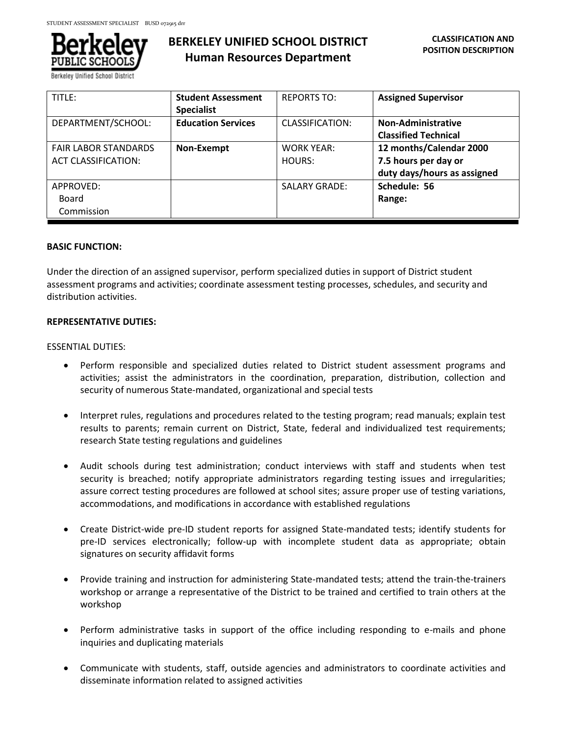

# **BERKELEY UNIFIED SCHOOL DISTRICT Human Resources Department**

| TITLE:                                                    | <b>Student Assessment</b><br><b>Specialist</b> | <b>REPORTS TO:</b>          | <b>Assigned Supervisor</b>                                                     |
|-----------------------------------------------------------|------------------------------------------------|-----------------------------|--------------------------------------------------------------------------------|
| DEPARTMENT/SCHOOL:                                        | <b>Education Services</b>                      | <b>CLASSIFICATION:</b>      | <b>Non-Administrative</b><br><b>Classified Technical</b>                       |
| <b>FAIR LABOR STANDARDS</b><br><b>ACT CLASSIFICATION:</b> | Non-Exempt                                     | <b>WORK YEAR:</b><br>HOURS: | 12 months/Calendar 2000<br>7.5 hours per day or<br>duty days/hours as assigned |
| APPROVED:<br>Board<br>Commission                          |                                                | <b>SALARY GRADE:</b>        | Schedule: 56<br>Range:                                                         |

### **BASIC FUNCTION:**

Under the direction of an assigned supervisor, perform specialized duties in support of District student assessment programs and activities; coordinate assessment testing processes, schedules, and security and distribution activities.

## **REPRESENTATIVE DUTIES:**

### ESSENTIAL DUTIES:

- Perform responsible and specialized duties related to District student assessment programs and activities; assist the administrators in the coordination, preparation, distribution, collection and security of numerous State-mandated, organizational and special tests
- Interpret rules, regulations and procedures related to the testing program; read manuals; explain test results to parents; remain current on District, State, federal and individualized test requirements; research State testing regulations and guidelines
- Audit schools during test administration; conduct interviews with staff and students when test security is breached; notify appropriate administrators regarding testing issues and irregularities; assure correct testing procedures are followed at school sites; assure proper use of testing variations, accommodations, and modifications in accordance with established regulations
- Create District-wide pre-ID student reports for assigned State-mandated tests; identify students for pre-ID services electronically; follow-up with incomplete student data as appropriate; obtain signatures on security affidavit forms
- Provide training and instruction for administering State-mandated tests; attend the train-the-trainers workshop or arrange a representative of the District to be trained and certified to train others at the workshop
- Perform administrative tasks in support of the office including responding to e-mails and phone inquiries and duplicating materials
- Communicate with students, staff, outside agencies and administrators to coordinate activities and disseminate information related to assigned activities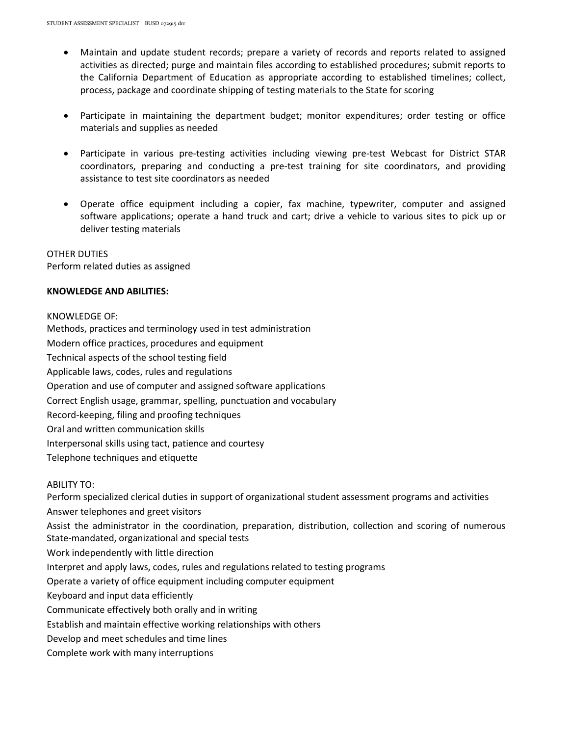- Maintain and update student records; prepare a variety of records and reports related to assigned activities as directed; purge and maintain files according to established procedures; submit reports to the California Department of Education as appropriate according to established timelines; collect, process, package and coordinate shipping of testing materials to the State for scoring
- Participate in maintaining the department budget; monitor expenditures; order testing or office materials and supplies as needed
- Participate in various pre-testing activities including viewing pre-test Webcast for District STAR coordinators, preparing and conducting a pre-test training for site coordinators, and providing assistance to test site coordinators as needed
- Operate office equipment including a copier, fax machine, typewriter, computer and assigned software applications; operate a hand truck and cart; drive a vehicle to various sites to pick up or deliver testing materials

OTHER DUTIES Perform related duties as assigned

## **KNOWLEDGE AND ABILITIES:**

### KNOWLEDGE OF:

Methods, practices and terminology used in test administration Modern office practices, procedures and equipment Technical aspects of the school testing field Applicable laws, codes, rules and regulations Operation and use of computer and assigned software applications Correct English usage, grammar, spelling, punctuation and vocabulary Record-keeping, filing and proofing techniques Oral and written communication skills Interpersonal skills using tact, patience and courtesy Telephone techniques and etiquette

#### ABILITY TO:

Perform specialized clerical duties in support of organizational student assessment programs and activities Answer telephones and greet visitors Assist the administrator in the coordination, preparation, distribution, collection and scoring of numerous State-mandated, organizational and special tests Work independently with little direction Interpret and apply laws, codes, rules and regulations related to testing programs Operate a variety of office equipment including computer equipment Keyboard and input data efficiently Communicate effectively both orally and in writing Establish and maintain effective working relationships with others Develop and meet schedules and time lines Complete work with many interruptions